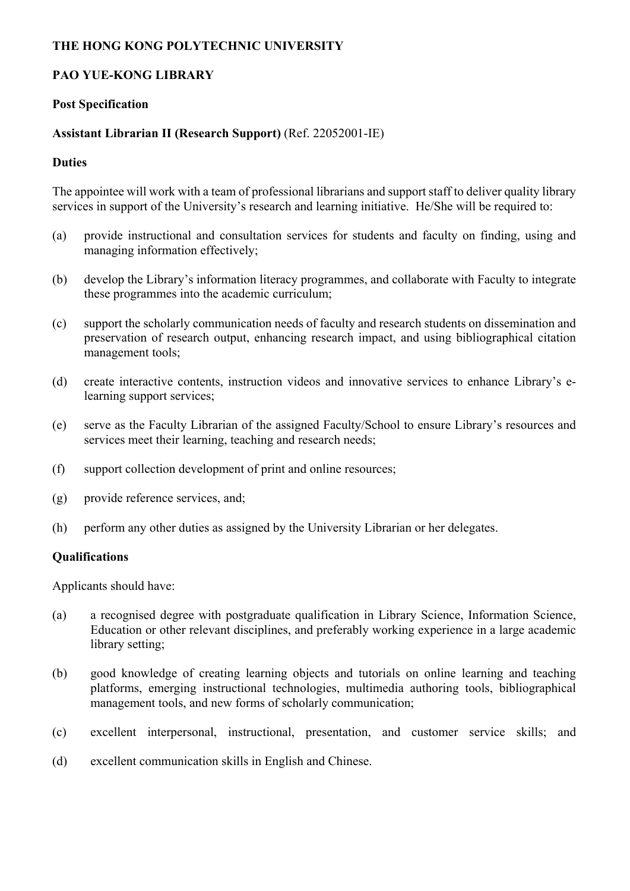### **THE HONG KONG POLYTECHNIC UNIVERSITY**

## **PAO YUE-KONG LIBRARY**

### **Post Specification**

## **Assistant Librarian II (Research Support)** (Ref. 22052001-IE)

### **Duties**

The appointee will work with a team of professional librarians and support staff to deliver quality library services in support of the University's research and learning initiative. He/She will be required to:

- (a) provide instructional and consultation services for students and faculty on finding, using and managing information effectively;
- (b) develop the Library's information literacy programmes, and collaborate with Faculty to integrate these programmes into the academic curriculum;
- (c) support the scholarly communication needs of faculty and research students on dissemination and preservation of research output, enhancing research impact, and using bibliographical citation management tools;
- (d) create interactive contents, instruction videos and innovative services to enhance Library's elearning support services;
- (e) serve as the Faculty Librarian of the assigned Faculty/School to ensure Library's resources and services meet their learning, teaching and research needs;
- (f) support collection development of print and online resources;
- (g) provide reference services, and;
- (h) perform any other duties as assigned by the University Librarian or her delegates.

#### **Qualifications**

Applicants should have:

- (a) a recognised degree with postgraduate qualification in Library Science, Information Science, Education or other relevant disciplines, and preferably working experience in a large academic library setting;
- (b) good knowledge of creating learning objects and tutorials on online learning and teaching platforms, emerging instructional technologies, multimedia authoring tools, bibliographical management tools, and new forms of scholarly communication;
- (c) excellent interpersonal, instructional, presentation, and customer service skills; and
- (d) excellent communication skills in English and Chinese.